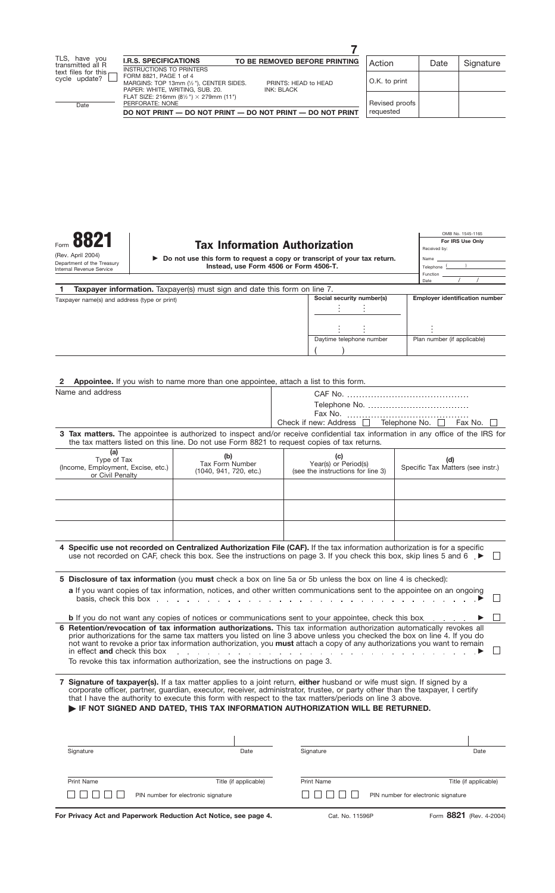# Form  $\frac{\text{S821}}{\text{Re}(10K)}$  **CMB No. 1545-1165**<br>For IRS Use Only

|                                        | ► Do not use this form to request a copy or transcript of your tax return. |  |  |  |  |  |  |  |
|----------------------------------------|----------------------------------------------------------------------------|--|--|--|--|--|--|--|
| Instead, use Form 4506 or Form 4506-T. |                                                                            |  |  |  |  |  |  |  |

| OMB No. 1545-1165 |  |  |  |  |  |  |  |
|-------------------|--|--|--|--|--|--|--|
| For IRS Use Only  |  |  |  |  |  |  |  |
| Received by:      |  |  |  |  |  |  |  |
| Name              |  |  |  |  |  |  |  |
| Telephone (       |  |  |  |  |  |  |  |
| Function          |  |  |  |  |  |  |  |
| Date              |  |  |  |  |  |  |  |
|                   |  |  |  |  |  |  |  |

| Taxpayer name(s) and address (type or print) | Social security number(s) | <b>Employer identification number</b> |  |
|----------------------------------------------|---------------------------|---------------------------------------|--|
|                                              |                           |                                       |  |
|                                              |                           |                                       |  |
|                                              | Daytime telephone number  | Plan number (if applicable)           |  |
|                                              |                           |                                       |  |

| <b>2</b> Appointee. If you wish to name more than one appointee, attach a list to this form. |  |  |  |  |  |
|----------------------------------------------------------------------------------------------|--|--|--|--|--|
|                                                                                              |  |  |  |  |  |

| Name and address                                                                                                                                                                                                                                                                                                                                                                                                                                                                                                                                                                                              |                                                                                                              |                                                                                                                                                                                                                                                      |                                          |  |  |  |  |
|---------------------------------------------------------------------------------------------------------------------------------------------------------------------------------------------------------------------------------------------------------------------------------------------------------------------------------------------------------------------------------------------------------------------------------------------------------------------------------------------------------------------------------------------------------------------------------------------------------------|--------------------------------------------------------------------------------------------------------------|------------------------------------------------------------------------------------------------------------------------------------------------------------------------------------------------------------------------------------------------------|------------------------------------------|--|--|--|--|
|                                                                                                                                                                                                                                                                                                                                                                                                                                                                                                                                                                                                               |                                                                                                              |                                                                                                                                                                                                                                                      |                                          |  |  |  |  |
|                                                                                                                                                                                                                                                                                                                                                                                                                                                                                                                                                                                                               |                                                                                                              |                                                                                                                                                                                                                                                      |                                          |  |  |  |  |
|                                                                                                                                                                                                                                                                                                                                                                                                                                                                                                                                                                                                               |                                                                                                              | Check if new: Address □ Telephone No. □ Fax No.                                                                                                                                                                                                      |                                          |  |  |  |  |
|                                                                                                                                                                                                                                                                                                                                                                                                                                                                                                                                                                                                               |                                                                                                              | 3 Tax matters. The appointee is authorized to inspect and/or receive confidential tax information in any office of the IRS for<br>the tax matters listed on this line. Do not use Form 8821 to request copies of tax returns.                        |                                          |  |  |  |  |
| (a)<br>(b)<br>Type of Tax<br>Tax Form Number<br>(Income, Employment, Excise, etc.)<br>(1040, 941, 720, etc.)<br>or Civil Penalty                                                                                                                                                                                                                                                                                                                                                                                                                                                                              |                                                                                                              | (c)<br>Year(s) or Period(s)<br>(see the instructions for line 3)                                                                                                                                                                                     | (d)<br>Specific Tax Matters (see instr.) |  |  |  |  |
|                                                                                                                                                                                                                                                                                                                                                                                                                                                                                                                                                                                                               |                                                                                                              |                                                                                                                                                                                                                                                      |                                          |  |  |  |  |
|                                                                                                                                                                                                                                                                                                                                                                                                                                                                                                                                                                                                               |                                                                                                              |                                                                                                                                                                                                                                                      |                                          |  |  |  |  |
|                                                                                                                                                                                                                                                                                                                                                                                                                                                                                                                                                                                                               |                                                                                                              | 4 Specific use not recorded on Centralized Authorization File (CAF). If the tax information authorization is for a specific<br>use not recorded on CAF, check this box. See the instructions on page 3. If you check this box, skip lines 5 and 6. ▶ |                                          |  |  |  |  |
|                                                                                                                                                                                                                                                                                                                                                                                                                                                                                                                                                                                                               | 5 Disclosure of tax information (you must check a box on line 5a or 5b unless the box on line 4 is checked): |                                                                                                                                                                                                                                                      |                                          |  |  |  |  |
| a If you want copies of tax information, notices, and other written communications sent to the appointee on an ongoing<br>basis, check this box $\ldots$ $\ldots$ $\ldots$ $\ldots$ $\ldots$ $\ldots$ $\ldots$ $\ldots$ $\ldots$ $\ldots$ $\ldots$ $\ldots$ $\ldots$                                                                                                                                                                                                                                                                                                                                          |                                                                                                              |                                                                                                                                                                                                                                                      |                                          |  |  |  |  |
| <b>b</b> If you do not want any copies of notices or communications sent to your appointee, check this box                                                                                                                                                                                                                                                                                                                                                                                                                                                                                                    |                                                                                                              |                                                                                                                                                                                                                                                      |                                          |  |  |  |  |
| 6 Retention/revocation of tax information authorizations. This tax information authorization automatically revokes all<br>prior authorizations for the same tax matters you listed on line 3 above unless you checked the box on line 4. If you do<br>not want to revoke a prior tax information authorization, you must attach a copy of any authorizations you want to remain<br>in effect and check this box<br>$\mathcal{L}$ . The set of the set of the set of the set of the set of the set of the set of $\mathbb{R}$<br>To revoke this tax information authorization, see the instructions on page 3. |                                                                                                              |                                                                                                                                                                                                                                                      |                                          |  |  |  |  |
|                                                                                                                                                                                                                                                                                                                                                                                                                                                                                                                                                                                                               |                                                                                                              |                                                                                                                                                                                                                                                      |                                          |  |  |  |  |

**7 Signature of taxpayer(s).** If a tax matter applies to a joint return, **either** husband or wife must sign. If signed by a corporate officer, partner, guardian, executor, receiver, administrator, trustee, or party other than the taxpayer, I certify that I have the authority to execute this form with respect to the tax matters/periods on line 3 above. **IF NOT SIGNED AND DATED, THIS TAX INFORMATION AUTHORIZATION WILL BE RETURNED.**

| Signature         | Date                                | Signature         | Date                                |
|-------------------|-------------------------------------|-------------------|-------------------------------------|
| <b>Print Name</b> | Title (if applicable)               | <b>Print Name</b> | Title (if applicable)               |
| $\pm$             | PIN number for electronic signature | .<br>,,,,,        | PIN number for electronic signature |

**For Privacy Act and Paperwork Reduction Act Notice, see page 4.**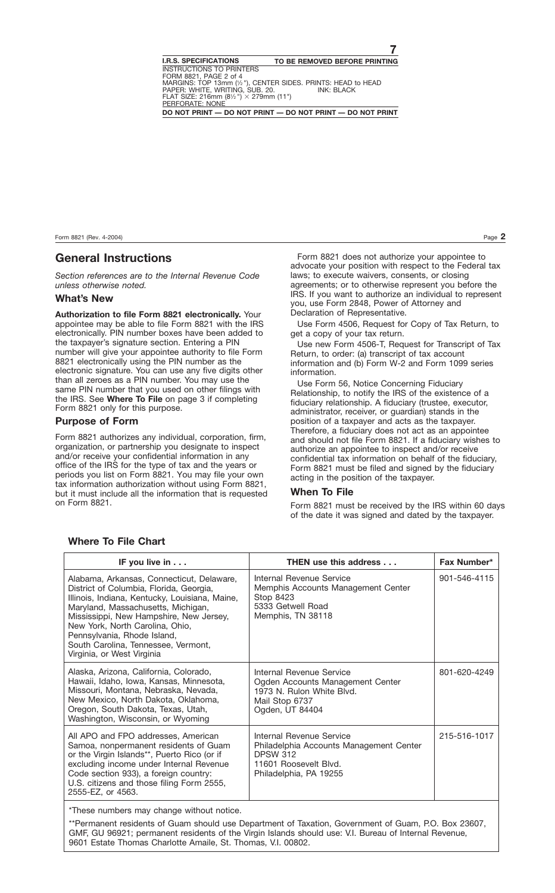## **General Instructions**

*Section references are to the Internal Revenue Code unless otherwise noted.*

#### **What's New**

**Authorization to file Form 8821 electronically.** Your appointee may be able to file Form 8821 with the IRS electronically. PIN number boxes have been added to the taxpayer's signature section. Entering a PIN number will give your appointee authority to file Form 8821 electronically using the PIN number as the electronic signature. You can use any five digits other than all zeroes as a PIN number. You may use the same PIN number that you used on other filings with the IRS. See **Where To File** on page 3 if completing Form 8821 only for this purpose.

#### **Purpose of Form**

Form 8821 authorizes any individual, corporation, firm, organization, or partnership you designate to inspect and/or receive your confidential information in any office of the IRS for the type of tax and the years or periods you list on Form 8821. You may file your own tax information authorization without using Form 8821, but it must include all the information that is requested on Form 8821

Form 8821 does not authorize your appointee to advocate your position with respect to the Federal tax laws; to execute waivers, consents, or closing agreements; or to otherwise represent you before the IRS. If you want to authorize an individual to represent you, use Form 2848, Power of Attorney and Declaration of Representative.

Use Form 4506, Request for Copy of Tax Return, to get a copy of your tax return.

Use new Form 4506-T, Request for Transcript of Tax Return, to order: (a) transcript of tax account information and (b) Form W-2 and Form 1099 series information.

Use Form 56, Notice Concerning Fiduciary Relationship, to notify the IRS of the existence of a fiduciary relationship. A fiduciary (trustee, executor, administrator, receiver, or guardian) stands in the position of a taxpayer and acts as the taxpayer. Therefore, a fiduciary does not act as an appointee and should not file Form 8821. If a fiduciary wishes to authorize an appointee to inspect and/or receive confidential tax information on behalf of the fiduciary, Form 8821 must be filed and signed by the fiduciary acting in the position of the taxpayer.

#### **When To File**

Form 8821 must be received by the IRS within 60 days of the date it was signed and dated by the taxpayer.

| IF you live in $\ldots$                                                                                                                                                                                                                                                                                                                                        | <b>THEN use this address</b>                                                                                                              | Fax Number*  |
|----------------------------------------------------------------------------------------------------------------------------------------------------------------------------------------------------------------------------------------------------------------------------------------------------------------------------------------------------------------|-------------------------------------------------------------------------------------------------------------------------------------------|--------------|
| Alabama, Arkansas, Connecticut, Delaware,<br>District of Columbia, Florida, Georgia,<br>Illinois, Indiana, Kentucky, Louisiana, Maine,<br>Maryland, Massachusetts, Michigan,<br>Mississippi, New Hampshire, New Jersey,<br>New York, North Carolina, Ohio,<br>Pennsylvania, Rhode Island,<br>South Carolina, Tennessee, Vermont,<br>Virginia, or West Virginia | Internal Revenue Service<br>Memphis Accounts Management Center<br>Stop 8423<br>5333 Getwell Road<br>Memphis, TN 38118                     | 901-546-4115 |
| Alaska, Arizona, California, Colorado,<br>Hawaii, Idaho, Iowa, Kansas, Minnesota,<br>Missouri, Montana, Nebraska, Nevada,<br>New Mexico, North Dakota, Oklahoma,<br>Oregon, South Dakota, Texas, Utah,<br>Washington, Wisconsin, or Wyoming                                                                                                                    | Internal Revenue Service<br>Ogden Accounts Management Center<br>1973 N. Rulon White Blvd.<br>Mail Stop 6737<br>Ogden, UT 84404            | 801-620-4249 |
| All APO and FPO addresses, American<br>Samoa, nonpermanent residents of Guam<br>or the Virgin Islands**, Puerto Rico (or if<br>excluding income under Internal Revenue<br>Code section 933), a foreign country:<br>U.S. citizens and those filing Form 2555,<br>2555-EZ, or 4563.                                                                              | Internal Revenue Service<br>Philadelphia Accounts Management Center<br><b>DPSW 312</b><br>11601 Roosevelt Blvd.<br>Philadelphia, PA 19255 | 215-516-1017 |

#### **Where To File Chart**

\*These numbers may change without notice.

\*\*Permanent residents of Guam should use Department of Taxation, Government of Guam, P.O. Box 23607, GMF, GU 96921; permanent residents of the Virgin Islands should use: V.I. Bureau of Internal Revenue, 9601 Estate Thomas Charlotte Amaile, St. Thomas, V.I. 00802.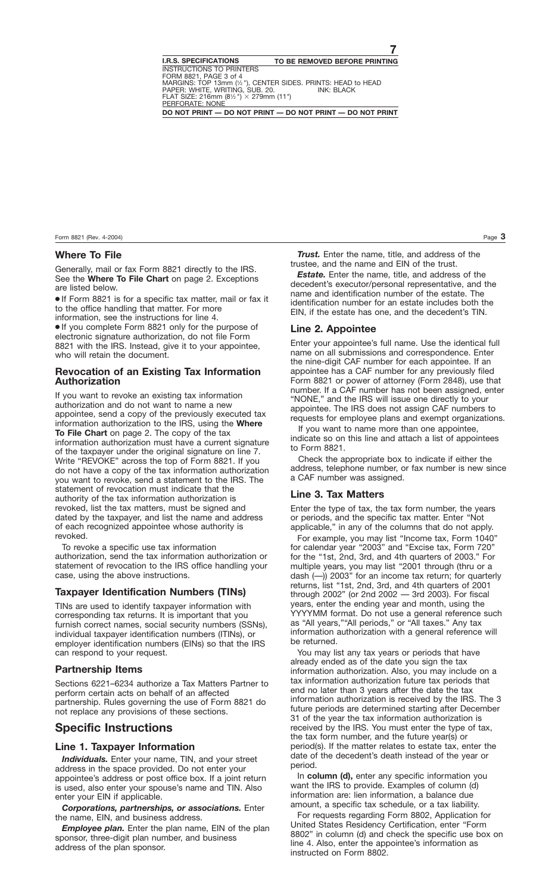#### **Where To File**

Generally, mail or fax Form 8821 directly to the IRS. See the **Where To File Chart** on page 2. Exceptions are listed below.

● If Form 8821 is for a specific tax matter, mail or fax it to the office handling that matter. For more

information, see the instructions for line 4. ● If you complete Form 8821 only for the purpose of electronic signature authorization, do not file Form 8821 with the IRS. Instead, give it to your appointee. who will retain the document.

#### **Revocation of an Existing Tax Information Authorization**

If you want to revoke an existing tax information authorization and do not want to name a new appointee, send a copy of the previously executed tax information authorization to the IRS, using the **Where To File Chart** on page 2. The copy of the tax information authorization must have a current signature of the taxpayer under the original signature on line 7. Write "REVOKE" across the top of Form 8821. If you do not have a copy of the tax information authorization you want to revoke, send a statement to the IRS. The statement of revocation must indicate that the authority of the tax information authorization is revoked, list the tax matters, must be signed and dated by the taxpayer, and list the name and address of each recognized appointee whose authority is revoked.

To revoke a specific use tax information authorization, send the tax information authorization or statement of revocation to the IRS office handling your case, using the above instructions.

#### **Taxpayer Identification Numbers (TINs)**

TINs are used to identify taxpayer information with corresponding tax returns. It is important that you furnish correct names, social security numbers (SSNs), individual taxpayer identification numbers (ITINs), or employer identification numbers (EINs) so that the IRS can respond to your request.

#### **Partnership Items**

Sections 6221–6234 authorize a Tax Matters Partner to perform certain acts on behalf of an affected partnership. Rules governing the use of Form 8821 do not replace any provisions of these sections.

### **Specific Instructions**

#### **Line 1. Taxpayer Information**

*Individuals.* Enter your name, TIN, and your street address in the space provided. Do not enter your appointee's address or post office box. If a joint return is used, also enter your spouse's name and TIN. Also enter your EIN if applicable.

*Corporations, partnerships, or associations.* Enter the name, EIN, and business address.

*Employee plan.* Enter the plan name, EIN of the plan sponsor, three-digit plan number, and business address of the plan sponsor.

*Trust.* Enter the name, title, and address of the trustee, and the name and EIN of the trust.

*Estate.* Enter the name, title, and address of the decedent's executor/personal representative, and the name and identification number of the estate. The identification number for an estate includes both the EIN, if the estate has one, and the decedent's TIN.

#### **Line 2. Appointee**

Enter your appointee's full name. Use the identical full name on all submissions and correspondence. Enter the nine-digit CAF number for each appointee. If an appointee has a CAF number for any previously filed Form 8821 or power of attorney (Form 2848), use that number. If a CAF number has not been assigned, enter "NONE," and the IRS will issue one directly to your appointee. The IRS does not assign CAF numbers to requests for employee plans and exempt organizations.

If you want to name more than one appointee, indicate so on this line and attach a list of appointees to Form 8821.

Check the appropriate box to indicate if either the address, telephone number, or fax number is new since a CAF number was assigned.

#### **Line 3. Tax Matters**

Enter the type of tax, the tax form number, the years or periods, and the specific tax matter. Enter "Not applicable," in any of the columns that do not apply.

For example, you may list "Income tax, Form 1040" for calendar year "2003" and "Excise tax, Form 720" for the "1st, 2nd, 3rd, and 4th quarters of 2003." For multiple years, you may list "2001 through (thru or a dash (—)) 2003" for an income tax return; for quarterly returns, list "1st, 2nd, 3rd, and 4th quarters of 2001 through 2002" (or 2nd 2002 — 3rd 2003). For fiscal years, enter the ending year and month, using the YYYYMM format. Do not use a general reference such as "All years,""All periods," or "All taxes." Any tax information authorization with a general reference will be returned.

You may list any tax years or periods that have already ended as of the date you sign the tax information authorization. Also, you may include on a tax information authorization future tax periods that end no later than 3 years after the date the tax information authorization is received by the IRS. The 3 future periods are determined starting after December 31 of the year the tax information authorization is received by the IRS. You must enter the type of tax, the tax form number, and the future year(s) or period(s). If the matter relates to estate tax, enter the date of the decedent's death instead of the year or period.

In **column (d),** enter any specific information you want the IRS to provide. Examples of column (d) information are: lien information, a balance due amount, a specific tax schedule, or a tax liability.

For requests regarding Form 8802, Application for United States Residency Certification, enter "Form 8802" in column (d) and check the specific use box on line 4. Also, enter the appointee's information as instructed on Form 8802.